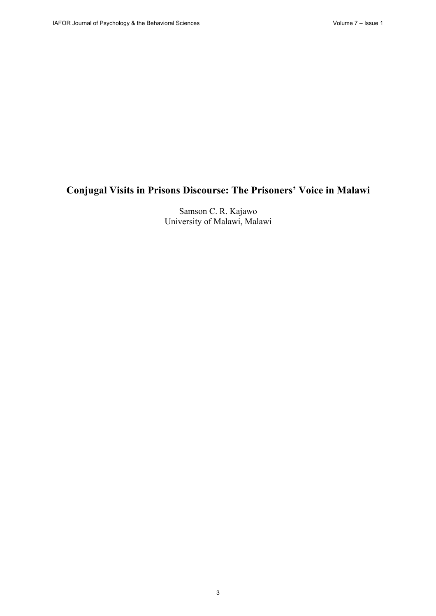# **Conjugal Visits in Prisons Discourse: The Prisoners' Voice in Malawi**

Samson C. R. Kajawo University of Malawi, Malawi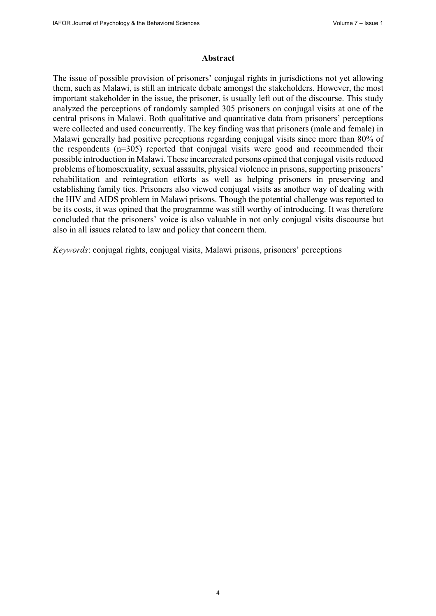#### **Abstract**

The issue of possible provision of prisoners' conjugal rights in jurisdictions not yet allowing them, such as Malawi, is still an intricate debate amongst the stakeholders. However, the most important stakeholder in the issue, the prisoner, is usually left out of the discourse. This study analyzed the perceptions of randomly sampled 305 prisoners on conjugal visits at one of the central prisons in Malawi. Both qualitative and quantitative data from prisoners' perceptions were collected and used concurrently. The key finding was that prisoners (male and female) in Malawi generally had positive perceptions regarding conjugal visits since more than 80% of the respondents (n=305) reported that conjugal visits were good and recommended their possible introduction in Malawi. These incarcerated persons opined that conjugal visits reduced problems of homosexuality, sexual assaults, physical violence in prisons, supporting prisoners' rehabilitation and reintegration efforts as well as helping prisoners in preserving and establishing family ties. Prisoners also viewed conjugal visits as another way of dealing with the HIV and AIDS problem in Malawi prisons. Though the potential challenge was reported to be its costs, it was opined that the programme was still worthy of introducing. It was therefore concluded that the prisoners' voice is also valuable in not only conjugal visits discourse but also in all issues related to law and policy that concern them.

*Keywords*: conjugal rights, conjugal visits, Malawi prisons, prisoners' perceptions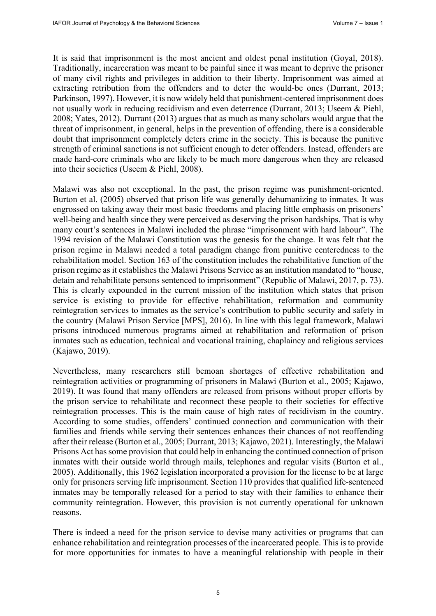It is said that imprisonment is the most ancient and oldest penal institution (Goyal, 2018). Traditionally, incarceration was meant to be painful since it was meant to deprive the prisoner of many civil rights and privileges in addition to their liberty. Imprisonment was aimed at extracting retribution from the offenders and to deter the would-be ones (Durrant, 2013; Parkinson, 1997). However, it is now widely held that punishment-centered imprisonment does not usually work in reducing recidivism and even deterrence (Durrant, 2013; Useem & Piehl, 2008; Yates, 2012). Durrant (2013) argues that as much as many scholars would argue that the threat of imprisonment, in general, helps in the prevention of offending, there is a considerable doubt that imprisonment completely deters crime in the society. This is because the punitive strength of criminal sanctions is not sufficient enough to deter offenders. Instead, offenders are made hard-core criminals who are likely to be much more dangerous when they are released into their societies (Useem & Piehl, 2008).

Malawi was also not exceptional. In the past, the prison regime was punishment-oriented. Burton et al. (2005) observed that prison life was generally dehumanizing to inmates. It was engrossed on taking away their most basic freedoms and placing little emphasis on prisoners' well-being and health since they were perceived as deserving the prison hardships. That is why many court's sentences in Malawi included the phrase "imprisonment with hard labour". The 1994 revision of the Malawi Constitution was the genesis for the change. It was felt that the prison regime in Malawi needed a total paradigm change from punitive centeredness to the rehabilitation model. Section 163 of the constitution includes the rehabilitative function of the prison regime as it establishes the Malawi Prisons Service as an institution mandated to "house, detain and rehabilitate persons sentenced to imprisonment" (Republic of Malawi, 2017, p. 73). This is clearly expounded in the current mission of the institution which states that prison service is existing to provide for effective rehabilitation, reformation and community reintegration services to inmates as the service's contribution to public security and safety in the country (Malawi Prison Service [MPS], 2016). In line with this legal framework, Malawi prisons introduced numerous programs aimed at rehabilitation and reformation of prison inmates such as education, technical and vocational training, chaplaincy and religious services (Kajawo, 2019).

Nevertheless, many researchers still bemoan shortages of effective rehabilitation and reintegration activities or programming of prisoners in Malawi (Burton et al., 2005; Kajawo, 2019). It was found that many offenders are released from prisons without proper efforts by the prison service to rehabilitate and reconnect these people to their societies for effective reintegration processes. This is the main cause of high rates of recidivism in the country. According to some studies, offenders' continued connection and communication with their families and friends while serving their sentences enhances their chances of not reoffending after their release (Burton et al., 2005; Durrant, 2013; Kajawo, 2021). Interestingly, the Malawi Prisons Act has some provision that could help in enhancing the continued connection of prison inmates with their outside world through mails, telephones and regular visits (Burton et al., 2005). Additionally, this 1962 legislation incorporated a provision for the license to be at large only for prisoners serving life imprisonment. Section 110 provides that qualified life-sentenced inmates may be temporally released for a period to stay with their families to enhance their community reintegration. However, this provision is not currently operational for unknown reasons.

There is indeed a need for the prison service to devise many activities or programs that can enhance rehabilitation and reintegration processes of the incarcerated people. This is to provide for more opportunities for inmates to have a meaningful relationship with people in their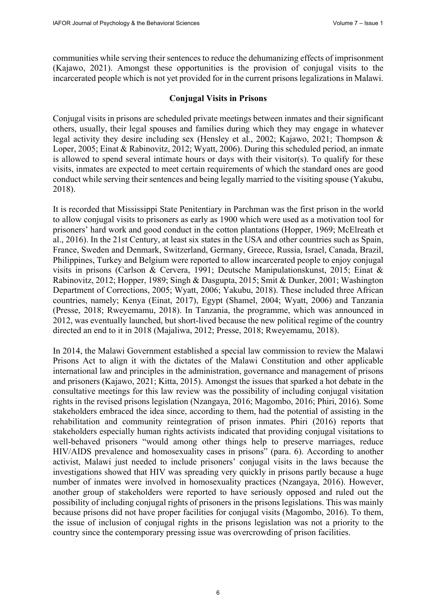communities while serving their sentences to reduce the dehumanizing effects of imprisonment (Kajawo, 2021). Amongst these opportunities is the provision of conjugal visits to the incarcerated people which is not yet provided for in the current prisons legalizations in Malawi.

# **Conjugal Visits in Prisons**

Conjugal visits in prisons are scheduled private meetings between inmates and their significant others, usually, their legal spouses and families during which they may engage in whatever legal activity they desire including sex (Hensley et al., 2002; Kajawo, 2021; Thompson & Loper, 2005; Einat & Rabinovitz, 2012; Wyatt, 2006). During this scheduled period, an inmate is allowed to spend several intimate hours or days with their visitor(s). To qualify for these visits, inmates are expected to meet certain requirements of which the standard ones are good conduct while serving their sentences and being legally married to the visiting spouse (Yakubu, 2018).

It is recorded that Mississippi State Penitentiary in Parchman was the first prison in the world to allow conjugal visits to prisoners as early as 1900 which were used as a motivation tool for prisoners' hard work and good conduct in the cotton plantations (Hopper, 1969; McElreath et al., 2016). In the 21st Century, at least six states in the USA and other countries such as Spain, France, Sweden and Denmark, Switzerland, Germany, Greece, Russia, Israel, Canada, Brazil, Philippines, Turkey and Belgium were reported to allow incarcerated people to enjoy conjugal visits in prisons (Carlson & Cervera, 1991; Deutsche Manipulationskunst, 2015; Einat & Rabinovitz, 2012; Hopper, 1989; Singh & Dasgupta, 2015; Smit & Dunker, 2001; Washington Department of Corrections, 2005; Wyatt, 2006; Yakubu, 2018). These included three African countries, namely; Kenya (Einat, 2017), Egypt (Shamel, 2004; Wyatt, 2006) and Tanzania (Presse, 2018; Rweyemamu, 2018). In Tanzania, the programme, which was announced in 2012, was eventually launched, but short-lived because the new political regime of the country directed an end to it in 2018 (Majaliwa, 2012; Presse, 2018; Rweyemamu, 2018).

In 2014, the Malawi Government established a special law commission to review the Malawi Prisons Act to align it with the dictates of the Malawi Constitution and other applicable international law and principles in the administration, governance and management of prisons and prisoners (Kajawo, 2021; Kitta, 2015). Amongst the issues that sparked a hot debate in the consultative meetings for this law review was the possibility of including conjugal visitation rights in the revised prisons legislation (Nzangaya, 2016; Magombo, 2016; Phiri, 2016). Some stakeholders embraced the idea since, according to them, had the potential of assisting in the rehabilitation and community reintegration of prison inmates. Phiri (2016) reports that stakeholders especially human rights activists indicated that providing conjugal visitations to well-behaved prisoners "would among other things help to preserve marriages, reduce HIV/AIDS prevalence and homosexuality cases in prisons" (para. 6). According to another activist, Malawi just needed to include prisoners' conjugal visits in the laws because the investigations showed that HIV was spreading very quickly in prisons partly because a huge number of inmates were involved in homosexuality practices (Nzangaya, 2016). However, another group of stakeholders were reported to have seriously opposed and ruled out the possibility of including conjugal rights of prisoners in the prisons legislations. This was mainly because prisons did not have proper facilities for conjugal visits (Magombo, 2016). To them, the issue of inclusion of conjugal rights in the prisons legislation was not a priority to the country since the contemporary pressing issue was overcrowding of prison facilities.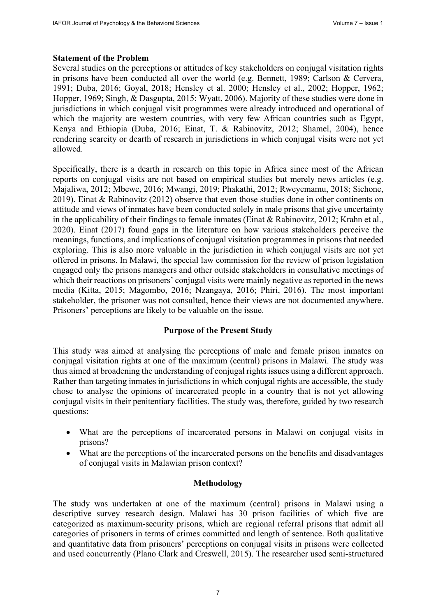## **Statement of the Problem**

Several studies on the perceptions or attitudes of key stakeholders on conjugal visitation rights in prisons have been conducted all over the world (e.g. Bennett, 1989; Carlson & Cervera, 1991; Duba, 2016; Goyal, 2018; Hensley et al. 2000; Hensley et al., 2002; Hopper, 1962; Hopper, 1969; Singh, & Dasgupta, 2015; Wyatt, 2006). Majority of these studies were done in jurisdictions in which conjugal visit programmes were already introduced and operational of which the majority are western countries, with very few African countries such as Egypt, Kenya and Ethiopia (Duba, 2016; Einat, T. & Rabinovitz, 2012; Shamel, 2004), hence rendering scarcity or dearth of research in jurisdictions in which conjugal visits were not yet allowed.

Specifically, there is a dearth in research on this topic in Africa since most of the African reports on conjugal visits are not based on empirical studies but merely news articles (e.g. Majaliwa, 2012; Mbewe, 2016; Mwangi, 2019; Phakathi, 2012; Rweyemamu, 2018; Sichone, 2019). Einat & Rabinovitz (2012) observe that even those studies done in other continents on attitude and views of inmates have been conducted solely in male prisons that give uncertainty in the applicability of their findings to female inmates (Einat & Rabinovitz, 2012; Krahn et al., 2020). Einat (2017) found gaps in the literature on how various stakeholders perceive the meanings, functions, and implications of conjugal visitation programmes in prisons that needed exploring. This is also more valuable in the jurisdiction in which conjugal visits are not yet offered in prisons. In Malawi, the special law commission for the review of prison legislation engaged only the prisons managers and other outside stakeholders in consultative meetings of which their reactions on prisoners' conjugal visits were mainly negative as reported in the news media (Kitta, 2015; Magombo, 2016; Nzangaya, 2016; Phiri, 2016). The most important stakeholder, the prisoner was not consulted, hence their views are not documented anywhere. Prisoners' perceptions are likely to be valuable on the issue.

# **Purpose of the Present Study**

This study was aimed at analysing the perceptions of male and female prison inmates on conjugal visitation rights at one of the maximum (central) prisons in Malawi. The study was thus aimed at broadening the understanding of conjugal rights issues using a different approach. Rather than targeting inmates in jurisdictions in which conjugal rights are accessible, the study chose to analyse the opinions of incarcerated people in a country that is not yet allowing conjugal visits in their penitentiary facilities. The study was, therefore, guided by two research questions:

- What are the perceptions of incarcerated persons in Malawi on conjugal visits in prisons?
- What are the perceptions of the incarcerated persons on the benefits and disadvantages of conjugal visits in Malawian prison context?

# **Methodology**

The study was undertaken at one of the maximum (central) prisons in Malawi using a descriptive survey research design. Malawi has 30 prison facilities of which five are categorized as maximum-security prisons, which are regional referral prisons that admit all categories of prisoners in terms of crimes committed and length of sentence. Both qualitative and quantitative data from prisoners' perceptions on conjugal visits in prisons were collected and used concurrently (Plano Clark and Creswell, 2015). The researcher used semi-structured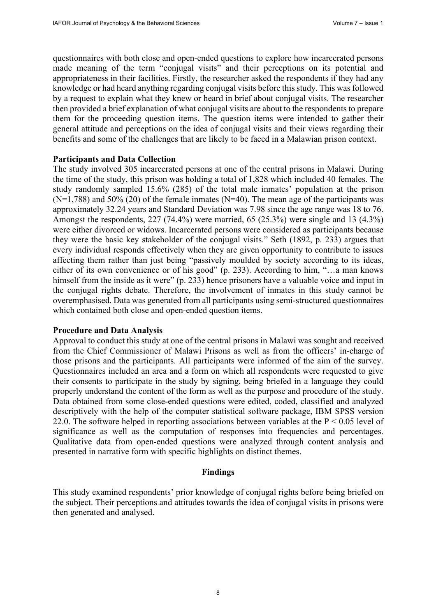questionnaires with both close and open-ended questions to explore how incarcerated persons made meaning of the term "conjugal visits" and their perceptions on its potential and appropriateness in their facilities. Firstly, the researcher asked the respondents if they had any knowledge or had heard anything regarding conjugal visits before this study. This was followed by a request to explain what they knew or heard in brief about conjugal visits. The researcher then provided a brief explanation of what conjugal visits are about to the respondents to prepare them for the proceeding question items. The question items were intended to gather their general attitude and perceptions on the idea of conjugal visits and their views regarding their benefits and some of the challenges that are likely to be faced in a Malawian prison context.

#### **Participants and Data Collection**

The study involved 305 incarcerated persons at one of the central prisons in Malawi. During the time of the study, this prison was holding a total of 1,828 which included 40 females. The study randomly sampled 15.6% (285) of the total male inmates' population at the prison  $(N=1,788)$  and 50% (20) of the female inmates (N=40). The mean age of the participants was approximately 32.24 years and Standard Deviation was 7.98 since the age range was 18 to 76. Amongst the respondents, 227 (74.4%) were married, 65 (25.3%) were single and 13 (4.3%) were either divorced or widows. Incarcerated persons were considered as participants because they were the basic key stakeholder of the conjugal visits." Seth (1892, p. 233) argues that every individual responds effectively when they are given opportunity to contribute to issues affecting them rather than just being "passively moulded by society according to its ideas, either of its own convenience or of his good" (p. 233). According to him, "…a man knows himself from the inside as it were" (p. 233) hence prisoners have a valuable voice and input in the conjugal rights debate. Therefore, the involvement of inmates in this study cannot be overemphasised. Data was generated from all participants using semi-structured questionnaires which contained both close and open-ended question items.

#### **Procedure and Data Analysis**

Approval to conduct this study at one of the central prisons in Malawi was sought and received from the Chief Commissioner of Malawi Prisons as well as from the officers' in-charge of those prisons and the participants. All participants were informed of the aim of the survey. Questionnaires included an area and a form on which all respondents were requested to give their consents to participate in the study by signing, being briefed in a language they could properly understand the content of the form as well as the purpose and procedure of the study. Data obtained from some close-ended questions were edited, coded, classified and analyzed descriptively with the help of the computer statistical software package, IBM SPSS version 22.0. The software helped in reporting associations between variables at the  $P < 0.05$  level of significance as well as the computation of responses into frequencies and percentages. Qualitative data from open-ended questions were analyzed through content analysis and presented in narrative form with specific highlights on distinct themes.

#### **Findings**

This study examined respondents' prior knowledge of conjugal rights before being briefed on the subject. Their perceptions and attitudes towards the idea of conjugal visits in prisons were then generated and analysed.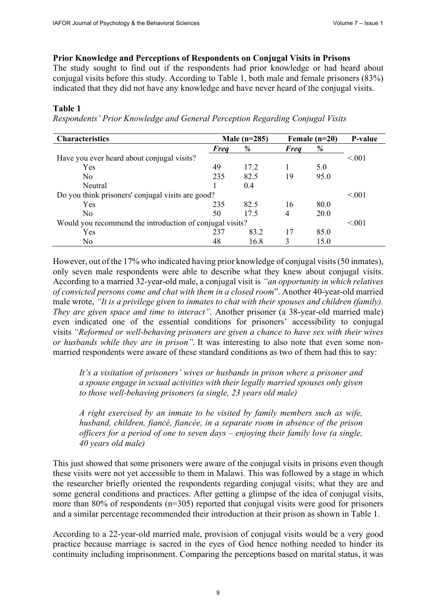# **Prior Knowledge and Perceptions of Respondents on Conjugal Visits in Prisons**

The study sought to find out if the respondents had prior knowledge or had heard about conjugal visits before this study. According to Table 1, both male and female prisoners (83%) indicated that they did not have any knowledge and have never heard of the conjugal visits.

# **Table 1**

*Respondents' Prior Knowledge and General Perception Regarding Conjugal Visits*

| <b>Characteristics</b>                                   | Male $(n=285)$ |      | Female $(n=20)$ |             | P-value |
|----------------------------------------------------------|----------------|------|-----------------|-------------|---------|
|                                                          | <b>Freq</b>    | %    | <b>Freq</b>     | %           |         |
| Have you ever heard about conjugal visits?               |                |      |                 |             | < 0.001 |
| Yes                                                      | 49             | 17.2 |                 | 5.0         |         |
| N <sub>0</sub>                                           | 235            | 82.5 | 19              | 95.0        |         |
| Neutral                                                  |                | 0.4  |                 |             |         |
| Do you think prisoners' conjugal visits are good?        |                |      |                 |             | < 0.01  |
| Yes                                                      | 235            | 82.5 | 16              | 80.0        |         |
| No                                                       | 50             | 17.5 | 4               | <b>20.0</b> |         |
| Would you recommend the introduction of conjugal visits? |                |      |                 |             | < 0.001 |
| Yes                                                      | 237            | 83.2 | 17              | 85.0        |         |
| No                                                       | 48             | 16.8 |                 | 15.0        |         |

However, out of the 17% who indicated having prior knowledge of conjugal visits (50 inmates), only seven male respondents were able to describe what they knew about conjugal visits. According to a married 32-year-old male, a conjugal visit is *"an opportunity in which relatives of convicted persons come and chat with them in a closed room*". Another 40-year-old married male wrote, *"It is a privilege given to inmates to chat with their spouses and children (family). They are given space and time to interact"*. Another prisoner (a 38-year-old married male) even indicated one of the essential conditions for prisoners' accessibility to conjugal visits *"Reformed or well-behaving prisoners are given a chance to have sex with their wives or husbands while they are in prison".* It was interesting to also note that even some nonmarried respondents were aware of these standard conditions as two of them had this to say:

*It's a visitation of prisoners' wives or husbands in prison where a prisoner and a spouse engage in sexual activities with their legally married spouses only given to those well-behaving prisoners (a single, 23 years old male)*

*A right exercised by an inmate to be visited by family members such as wife, husband, children, fiancé, fiancée, in a separate room in absence of the prison officers for a period of one to seven days – enjoying their family love (a single, 40 years old male)*

This just showed that some prisoners were aware of the conjugal visits in prisons even though these visits were not yet accessible to them in Malawi. This was followed by a stage in which the researcher briefly oriented the respondents regarding conjugal visits; what they are and some general conditions and practices. After getting a glimpse of the idea of conjugal visits, more than 80% of respondents (n=305) reported that conjugal visits were good for prisoners and a similar percentage recommended their introduction at their prison as shown in Table 1.

According to a 22-year-old married male, provision of conjugal visits would be a very good practice because marriage is sacred in the eyes of God hence nothing needed to hinder its continuity including imprisonment. Comparing the perceptions based on marital status, it was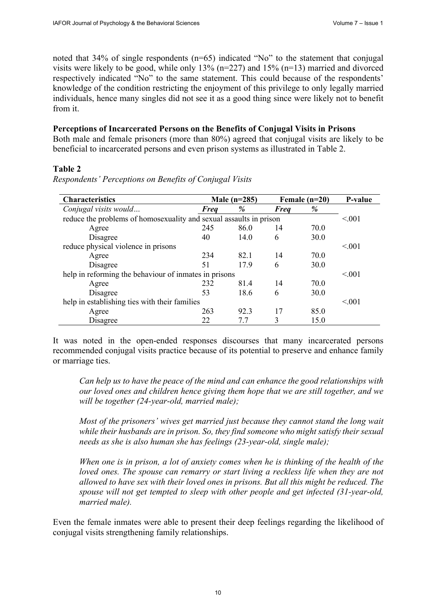noted that 34% of single respondents (n=65) indicated "No" to the statement that conjugal visits were likely to be good, while only 13% ( $n=227$ ) and 15% ( $n=13$ ) married and divorced respectively indicated "No" to the same statement. This could because of the respondents' knowledge of the condition restricting the enjoyment of this privilege to only legally married individuals, hence many singles did not see it as a good thing since were likely not to benefit from it.

## **Perceptions of Incarcerated Persons on the Benefits of Conjugal Visits in Prisons**

Both male and female prisoners (more than 80%) agreed that conjugal visits are likely to be beneficial to incarcerated persons and even prison systems as illustrated in Table 2.

#### **Table 2**

| <b>Characteristics</b>                                             |             | Male $(n=285)$ |             | Female $(n=20)$ |                  |  |
|--------------------------------------------------------------------|-------------|----------------|-------------|-----------------|------------------|--|
| Conjugal visits would                                              | <b>Freq</b> | %              | <b>Freq</b> | %               |                  |  |
| reduce the problems of homosexuality and sexual assaults in prison |             |                |             |                 |                  |  |
| Agree                                                              | 245         | 86.0           | 14          | 70.0            |                  |  |
| Disagree                                                           | 40          | 14.0           | 6           | 30.0            |                  |  |
| reduce physical violence in prisons                                |             |                |             |                 | < 0.01           |  |
| Agree                                                              | 234         | 82.1           | 14          | 70.0            |                  |  |
| Disagree                                                           | 51          | 17.9           | 6           | 30.0            |                  |  |
| help in reforming the behaviour of inmates in prisons              |             |                |             |                 |                  |  |
| Agree                                                              | 232         | 81.4           | 14          | 70.0            |                  |  |
| Disagree                                                           | 53          | 18.6           | 6           | 30.0            |                  |  |
| help in establishing ties with their families                      |             |                |             |                 |                  |  |
| Agree                                                              | 263         | 92.3           | 17          | 85.0            |                  |  |
| Disagree                                                           | 22          | 7.7            | 3           | 15.0            |                  |  |
|                                                                    |             |                |             |                 | < 0.01<br>< 0.01 |  |

*Respondents' Perceptions on Benefits of Conjugal Visits*

It was noted in the open-ended responses discourses that many incarcerated persons recommended conjugal visits practice because of its potential to preserve and enhance family or marriage ties.

*Can help us to have the peace of the mind and can enhance the good relationships with our loved ones and children hence giving them hope that we are still together, and we will be together (24-year-old, married male);*

*Most of the prisoners' wives get married just because they cannot stand the long wait while their husbands are in prison. So, they find someone who might satisfy their sexual needs as she is also human she has feelings (23-year-old, single male);*

*When one is in prison, a lot of anxiety comes when he is thinking of the health of the loved ones. The spouse can remarry or start living a reckless life when they are not allowed to have sex with their loved ones in prisons. But all this might be reduced. The spouse will not get tempted to sleep with other people and get infected (31-year-old, married male).*

Even the female inmates were able to present their deep feelings regarding the likelihood of conjugal visits strengthening family relationships.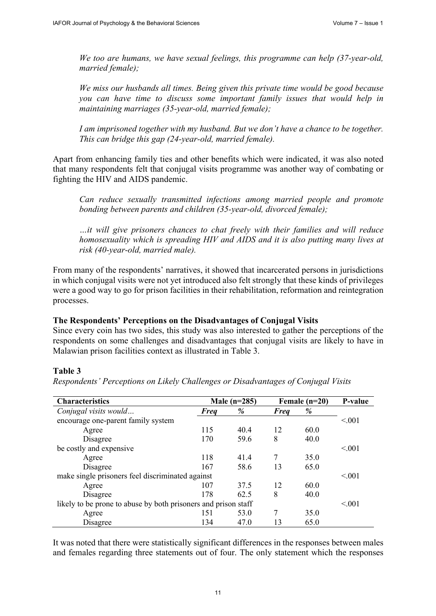*We too are humans, we have sexual feelings, this programme can help (37-year-old, married female);*

*We miss our husbands all times. Being given this private time would be good because you can have time to discuss some important family issues that would help in maintaining marriages (35-year-old, married female);*

*I am imprisoned together with my husband. But we don't have a chance to be together. This can bridge this gap (24-year-old, married female).*

Apart from enhancing family ties and other benefits which were indicated, it was also noted that many respondents felt that conjugal visits programme was another way of combating or fighting the HIV and AIDS pandemic.

*Can reduce sexually transmitted infections among married people and promote bonding between parents and children (35-year-old, divorced female);*

*…it will give prisoners chances to chat freely with their families and will reduce homosexuality which is spreading HIV and AIDS and it is also putting many lives at risk (40-year-old, married male).* 

From many of the respondents' narratives, it showed that incarcerated persons in jurisdictions in which conjugal visits were not yet introduced also felt strongly that these kinds of privileges were a good way to go for prison facilities in their rehabilitation, reformation and reintegration processes.

#### **The Respondents' Perceptions on the Disadvantages of Conjugal Visits**

Since every coin has two sides, this study was also interested to gather the perceptions of the respondents on some challenges and disadvantages that conjugal visits are likely to have in Malawian prison facilities context as illustrated in Table 3.

#### **Table 3**

*Respondents' Perceptions on Likely Challenges or Disadvantages of Conjugal Visits*

| <b>Characteristics</b>                                         | Male $(n=285)$ |      | Female $(n=20)$ |      | P-value |
|----------------------------------------------------------------|----------------|------|-----------------|------|---------|
| Conjugal visits would                                          | <b>Freq</b>    | %    | <b>Freq</b>     | %    |         |
| encourage one-parent family system                             |                |      |                 |      | < 0.001 |
| Agree                                                          | 115            | 40.4 | 12              | 60.0 |         |
| Disagree                                                       | 170            | 59.6 | 8               | 40.0 |         |
| be costly and expensive                                        |                |      |                 |      | < 0.01  |
| Agree                                                          | 118            | 41.4 |                 | 35.0 |         |
| Disagree                                                       | 167            | 58.6 | 13              | 65.0 |         |
| make single prisoners feel discriminated against               |                |      |                 |      |         |
| Agree                                                          | 107            | 37.5 | 12              | 60.0 |         |
| Disagree                                                       | 178            | 62.5 | 8               | 40.0 |         |
| likely to be prone to abuse by both prisoners and prison staff |                |      |                 |      |         |
| Agree                                                          | 151            | 53.0 | 7               | 35.0 |         |
| Disagree                                                       | 134            | 47.0 | 13              | 65.0 |         |

It was noted that there were statistically significant differences in the responses between males and females regarding three statements out of four. The only statement which the responses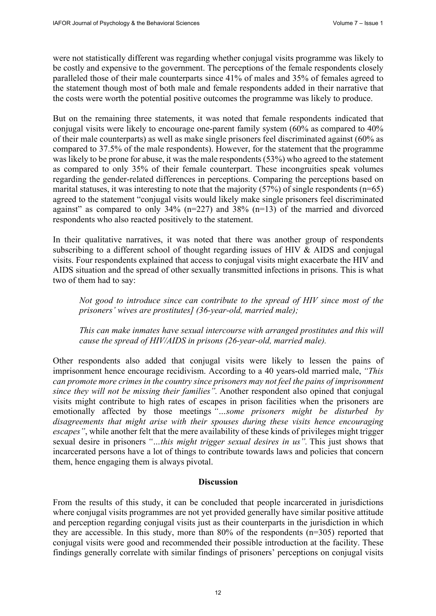were not statistically different was regarding whether conjugal visits programme was likely to be costly and expensive to the government. The perceptions of the female respondents closely paralleled those of their male counterparts since 41% of males and 35% of females agreed to the statement though most of both male and female respondents added in their narrative that the costs were worth the potential positive outcomes the programme was likely to produce.

But on the remaining three statements, it was noted that female respondents indicated that conjugal visits were likely to encourage one-parent family system (60% as compared to 40% of their male counterparts) as well as make single prisoners feel discriminated against (60% as compared to 37.5% of the male respondents). However, for the statement that the programme was likely to be prone for abuse, it was the male respondents (53%) who agreed to the statement as compared to only 35% of their female counterpart. These incongruities speak volumes regarding the gender-related differences in perceptions. Comparing the perceptions based on marital statuses, it was interesting to note that the majority  $(57%)$  of single respondents (n=65) agreed to the statement "conjugal visits would likely make single prisoners feel discriminated against" as compared to only  $34\%$  (n=227) and  $38\%$  (n=13) of the married and divorced respondents who also reacted positively to the statement.

In their qualitative narratives, it was noted that there was another group of respondents subscribing to a different school of thought regarding issues of HIV & AIDS and conjugal visits. Four respondents explained that access to conjugal visits might exacerbate the HIV and AIDS situation and the spread of other sexually transmitted infections in prisons. This is what two of them had to say:

*Not good to introduce since can contribute to the spread of HIV since most of the prisoners' wives are prostitutes] (36-year-old, married male);*

*This can make inmates have sexual intercourse with arranged prostitutes and this will cause the spread of HIV/AIDS in prisons (26-year-old, married male).*

Other respondents also added that conjugal visits were likely to lessen the pains of imprisonment hence encourage recidivism. According to a 40 years-old married male, *"This can promote more crimes in the country since prisoners may not feel the pains of imprisonment since they will not be missing their families".* Another respondent also opined that conjugal visits might contribute to high rates of escapes in prison facilities when the prisoners are emotionally affected by those meetings *"…some prisoners might be disturbed by disagreements that might arise with their spouses during these visits hence encouraging escapes"*, while another felt that the mere availability of these kinds of privileges might trigger sexual desire in prisoners *"…this might trigger sexual desires in us".* This just shows that incarcerated persons have a lot of things to contribute towards laws and policies that concern them, hence engaging them is always pivotal.

#### **Discussion**

From the results of this study, it can be concluded that people incarcerated in jurisdictions where conjugal visits programmes are not yet provided generally have similar positive attitude and perception regarding conjugal visits just as their counterparts in the jurisdiction in which they are accessible. In this study, more than 80% of the respondents (n=305) reported that conjugal visits were good and recommended their possible introduction at the facility. These findings generally correlate with similar findings of prisoners' perceptions on conjugal visits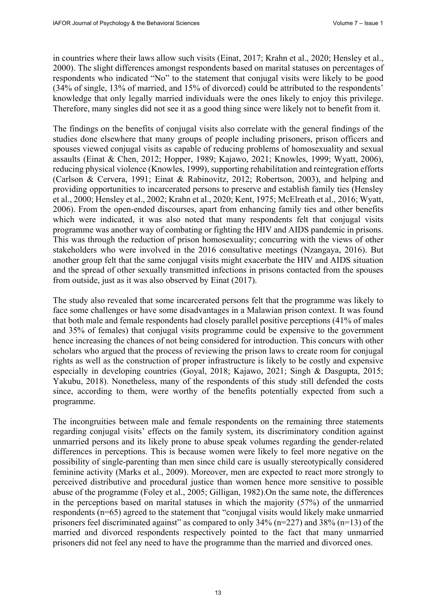in countries where their laws allow such visits (Einat, 2017; Krahn et al., 2020; Hensley et al., 2000). The slight differences amongst respondents based on marital statuses on percentages of respondents who indicated "No" to the statement that conjugal visits were likely to be good (34% of single, 13% of married, and 15% of divorced) could be attributed to the respondents' knowledge that only legally married individuals were the ones likely to enjoy this privilege. Therefore, many singles did not see it as a good thing since were likely not to benefit from it.

The findings on the benefits of conjugal visits also correlate with the general findings of the studies done elsewhere that many groups of people including prisoners, prison officers and spouses viewed conjugal visits as capable of reducing problems of homosexuality and sexual assaults (Einat & Chen, 2012; Hopper, 1989; Kajawo, 2021; Knowles, 1999; Wyatt, 2006), reducing physical violence (Knowles, 1999), supporting rehabilitation and reintegration efforts (Carlson & Cervera, 1991; Einat & Rabinovitz, 2012; Robertson, 2003), and helping and providing opportunities to incarcerated persons to preserve and establish family ties (Hensley et al., 2000; Hensley et al., 2002; Krahn et al., 2020; Kent, 1975; McElreath et al., 2016; Wyatt, 2006). From the open-ended discourses, apart from enhancing family ties and other benefits which were indicated, it was also noted that many respondents felt that conjugal visits programme was another way of combating or fighting the HIV and AIDS pandemic in prisons. This was through the reduction of prison homosexuality; concurring with the views of other stakeholders who were involved in the 2016 consultative meetings (Nzangaya, 2016). But another group felt that the same conjugal visits might exacerbate the HIV and AIDS situation and the spread of other sexually transmitted infections in prisons contacted from the spouses from outside, just as it was also observed by Einat (2017).

The study also revealed that some incarcerated persons felt that the programme was likely to face some challenges or have some disadvantages in a Malawian prison context. It was found that both male and female respondents had closely parallel positive perceptions (41% of males and 35% of females) that conjugal visits programme could be expensive to the government hence increasing the chances of not being considered for introduction. This concurs with other scholars who argued that the process of reviewing the prison laws to create room for conjugal rights as well as the construction of proper infrastructure is likely to be costly and expensive especially in developing countries (Goyal, 2018; Kajawo, 2021; Singh & Dasgupta, 2015; Yakubu, 2018). Nonetheless, many of the respondents of this study still defended the costs since, according to them, were worthy of the benefits potentially expected from such a programme.

The incongruities between male and female respondents on the remaining three statements regarding conjugal visits' effects on the family system, its discriminatory condition against unmarried persons and its likely prone to abuse speak volumes regarding the gender-related differences in perceptions. This is because women were likely to feel more negative on the possibility of single-parenting than men since child care is usually stereotypically considered feminine activity (Marks et al., 2009). Moreover, men are expected to react more strongly to perceived distributive and procedural justice than women hence more sensitive to possible abuse of the programme (Foley et al., 2005; Gilligan, 1982).On the same note, the differences in the perceptions based on marital statuses in which the majority (57%) of the unmarried respondents (n=65) agreed to the statement that "conjugal visits would likely make unmarried prisoners feel discriminated against" as compared to only  $34\%$  (n=227) and  $38\%$  (n=13) of the married and divorced respondents respectively pointed to the fact that many unmarried prisoners did not feel any need to have the programme than the married and divorced ones.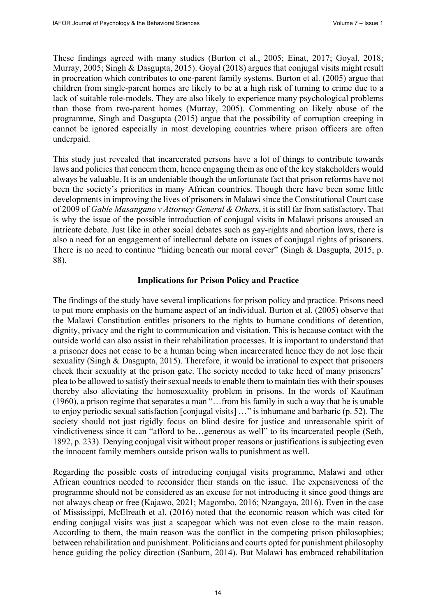These findings agreed with many studies (Burton et al., 2005; Einat, 2017; Goyal, 2018; Murray, 2005; Singh & Dasgupta, 2015). Goyal (2018) argues that conjugal visits might result in procreation which contributes to one-parent family systems. Burton et al. (2005) argue that children from single-parent homes are likely to be at a high risk of turning to crime due to a lack of suitable role-models. They are also likely to experience many psychological problems than those from two-parent homes (Murray, 2005). Commenting on likely abuse of the programme, Singh and Dasgupta (2015) argue that the possibility of corruption creeping in cannot be ignored especially in most developing countries where prison officers are often underpaid.

This study just revealed that incarcerated persons have a lot of things to contribute towards laws and policies that concern them, hence engaging them as one of the key stakeholders would always be valuable. It is an undeniable though the unfortunate fact that prison reforms have not been the society's priorities in many African countries. Though there have been some little developments in improving the lives of prisoners in Malawi since the Constitutional Court case of 2009 of *Gable Masangano v Attorney General & Others*, it is still far from satisfactory. That is why the issue of the possible introduction of conjugal visits in Malawi prisons aroused an intricate debate. Just like in other social debates such as gay-rights and abortion laws, there is also a need for an engagement of intellectual debate on issues of conjugal rights of prisoners. There is no need to continue "hiding beneath our moral cover" (Singh & Dasgupta, 2015, p. 88).

#### **Implications for Prison Policy and Practice**

The findings of the study have several implications for prison policy and practice. Prisons need to put more emphasis on the humane aspect of an individual. Burton et al. (2005) observe that the Malawi Constitution entitles prisoners to the rights to humane conditions of detention, dignity, privacy and the right to communication and visitation. This is because contact with the outside world can also assist in their rehabilitation processes. It is important to understand that a prisoner does not cease to be a human being when incarcerated hence they do not lose their sexuality (Singh & Dasgupta, 2015). Therefore, it would be irrational to expect that prisoners check their sexuality at the prison gate. The society needed to take heed of many prisoners' plea to be allowed to satisfy their sexual needs to enable them to maintain ties with their spouses thereby also alleviating the homosexuality problem in prisons. In the words of Kaufman (1960), a prison regime that separates a man "…from his family in such a way that he is unable to enjoy periodic sexual satisfaction [conjugal visits] …" is inhumane and barbaric (p. 52). The society should not just rigidly focus on blind desire for justice and unreasonable spirit of vindictiveness since it can "afford to be…generous as well" to its incarcerated people (Seth, 1892, p. 233). Denying conjugal visit without proper reasons or justifications is subjecting even the innocent family members outside prison walls to punishment as well.

Regarding the possible costs of introducing conjugal visits programme, Malawi and other African countries needed to reconsider their stands on the issue. The expensiveness of the programme should not be considered as an excuse for not introducing it since good things are not always cheap or free (Kajawo, 2021; Magombo, 2016; Nzangaya, 2016). Even in the case of Mississippi, McElreath et al. (2016) noted that the economic reason which was cited for ending conjugal visits was just a scapegoat which was not even close to the main reason. According to them, the main reason was the conflict in the competing prison philosophies; between rehabilitation and punishment. Politicians and courts opted for punishment philosophy hence guiding the policy direction (Sanburn, 2014). But Malawi has embraced rehabilitation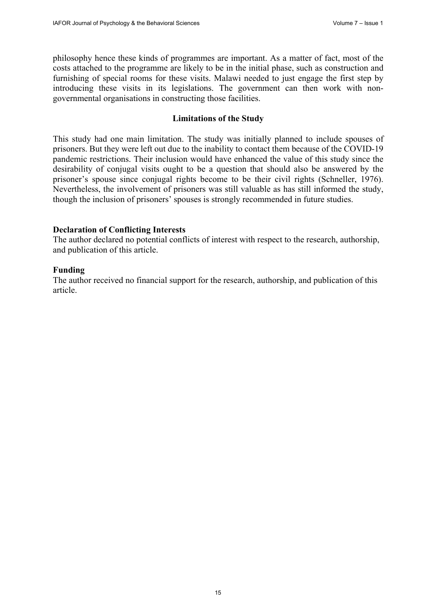philosophy hence these kinds of programmes are important. As a matter of fact, most of the costs attached to the programme are likely to be in the initial phase, such as construction and furnishing of special rooms for these visits. Malawi needed to just engage the first step by introducing these visits in its legislations. The government can then work with nongovernmental organisations in constructing those facilities.

#### **Limitations of the Study**

This study had one main limitation. The study was initially planned to include spouses of prisoners. But they were left out due to the inability to contact them because of the COVID-19 pandemic restrictions. Their inclusion would have enhanced the value of this study since the desirability of conjugal visits ought to be a question that should also be answered by the prisoner's spouse since conjugal rights become to be their civil rights (Schneller, 1976). Nevertheless, the involvement of prisoners was still valuable as has still informed the study, though the inclusion of prisoners' spouses is strongly recommended in future studies.

## **Declaration of Conflicting Interests**

The author declared no potential conflicts of interest with respect to the research, authorship, and publication of this article.

## **Funding**

The author received no financial support for the research, authorship, and publication of this article.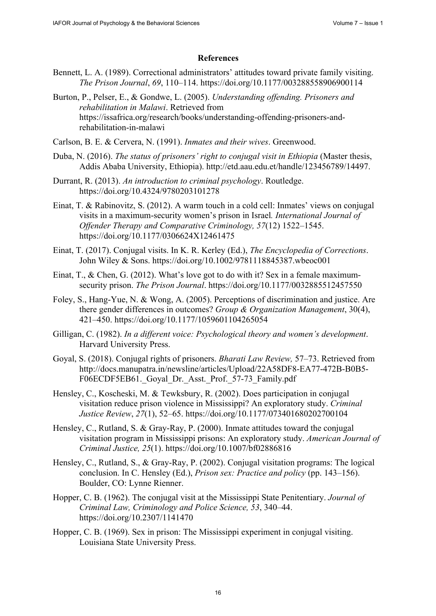#### **References**

- Bennett, L. A. (1989). Correctional administrators' attitudes toward private family visiting. *The Prison Journal*, *69*, 110–114. <https://doi.org/10.1177/003288558906900114>
- Burton, P., Pelser, E., & Gondwe, L. (2005). *Understanding offending. Prisoners and rehabilitation in Malawi*. Retrieved from [https://issafrica.org/research/books/understanding-offending-prisoners-and](https://issafrica.org/research/books/understanding-offending-prisoners-and-rehabilitation-in-malawi)rehabilitation[-in-malawi](https://issafrica.org/research/books/understanding-offending-prisoners-and-rehabilitation-in-malawi)
- Carlson, B. E. & Cervera, N. (1991). *Inmates and their wives*. Greenwood.
- Duba, N. (2016). *The status of prisoners' right to conjugal visit in Ethiopia* (Master thesis, Addis Ababa University, Ethiopia). [http://etd.aau.edu.et/handle/123456789/14497.](http://etd.aau.edu.et/handle/123456789/14497)
- Durrant, R. (2013). *An introduction to criminal psychology*. Routledge. <https://doi.org/10.4324/9780203101278>
- Einat, T. & Rabinovitz, S. (2012). A warm touch in a cold cell: Inmates' views on conjugal visits in a maximum-security women's prison in Israel*. International Journal of Offender Therapy and Comparative Criminology, 57*(12) 1522–1545. <https://doi.org/10.1177/0306624X12461475>
- Einat, T. (2017). Conjugal visits. In K. R. Kerley (Ed.), *The Encyclopedia of Corrections*. John Wiley & Sons. <https://doi.org/10.1002/9781118845387.wbeoc001>
- Einat, T., & Chen, G. (2012). What's love got to do with it? Sex in a female maximumsecurity prison. *The Prison Journal*. <https://doi.org/10.1177/0032885512457550>
- Foley, S., Hang-Yue, N. & Wong, A. (2005). Perceptions of discrimination and justice. Are there gender differences in outcomes? *Group & Organization Management*, 30(4), 421–450.<https://doi.org/10.1177/1059601104265054>
- Gilligan, C. (1982). *In a different voice: Psychological theory and women's development*. Harvard University Press.
- Goyal, S. (2018). Conjugal rights of prisoners. *Bharati Law Review,* 57–73. Retrieved from [http://docs.manupatra.in/newsline/articles/Upload/22A58DF8-EA77-472B-B0B5-](http://docs.manupatra.in/newsline/articles/Upload/22A58DF8-EA77-472B-B0B5-F06ECDF5EB61._Goyal_Dr._Asst._Prof._57-73_Family.pdf) F06ECDF5EB61. Goyal Dr. Asst. Prof. 57-73 Family.pdf
- Hensley, C., Koscheski, M. & Tewksbury, R. (2002). Does participation in conjugal visitation reduce prison violence in Mississippi? An exploratory study. *Criminal Justice Review*, *27*(1), 52–65.<https://doi.org/10.1177/073401680202700104>
- Hensley, C., Rutland, S. & Gray-Ray, P. (2000). Inmate attitudes toward the conjugal visitation program in Mississippi prisons: An exploratory study. *American Journal of Criminal Justice, 25*(1). <https://doi.org/10.1007/bf02886816>
- Hensley, C., Rutland, S., & Gray-Ray, P. (2002). Conjugal visitation programs: The logical conclusion. In C. Hensley (Ed.), *Prison sex: Practice and policy* (pp. 143–156). Boulder, CO: Lynne Rienner.
- Hopper, C. B. (1962). The conjugal visit at the Mississippi State Penitentiary. *Journal of Criminal Law, Criminology and Police Science, 53*, 340–44. <https://doi.org/10.2307/1141470>
- Hopper, C. B. (1969). Sex in prison: The Mississippi experiment in conjugal visiting. Louisiana State University Press.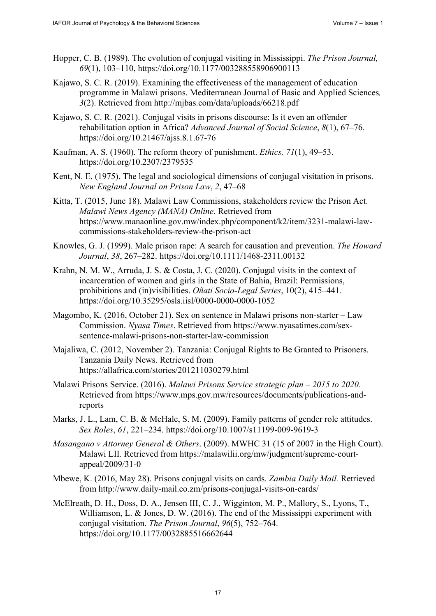- Hopper, C. B. (1989). The evolution of conjugal visiting in Mississippi. *The Prison Journal, 69*(1), 103–110,<https://doi.org/10.1177/003288558906900113>
- Kajawo, S. C. R. (2019). Examining the effectiveness of the management of education programme in Malawi prisons. Mediterranean Journal of Basic and Applied Sciences*, 3*(2). Retrieved from <http://mjbas.com/data/uploads/66218.pdf>
- Kajawo, S. C. R. (2021). Conjugal visits in prisons discourse: Is it even an offender rehabilitation option in Africa? *Advanced Journal of Social Science*, *8*(1), 67–76. <https://doi.org/10.21467/ajss.8.1.67-76>
- Kaufman, A. S. (1960). The reform theory of punishment. *Ethics, 71*(1), 49–53. <https://doi.org/10.2307/2379535>
- Kent, N. E. (1975). The legal and sociological dimensions of conjugal visitation in prisons. *New England Journal on Prison Law*, *2*, 47–68
- Kitta, T. (2015, June 18). Malawi Law Commissions, stakeholders review the Prison Act. *Malawi News Agency (MANA) Online*. Retrieved from [https://www.manaonline.gov.mw/index.php/component/k2/item/3231-malawi-law](https://www.manaonline.gov.mw/index.php/component/k2/item/3231-malawi-law-commissions-stakeholders-review-the-prison-act)commissions-[stakeholders-review-the-prison-act](https://www.manaonline.gov.mw/index.php/component/k2/item/3231-malawi-law-commissions-stakeholders-review-the-prison-act)
- Knowles, G. J. (1999). Male prison rape: A search for causation and prevention. *The Howard Journal*, *38*, 267–282. <https://doi.org/10.1111/1468-2311.00132>
- Krahn, N. M. W., Arruda, J. S. & Costa, J. C. (2020). Conjugal visits in the context of incarceration of women and girls in the State of Bahia, Brazil: Permissions, prohibitions and (in)visibilities. *Oñati Socio-Legal Series*, 10(2), 415–441. <https://doi.org/10.35295/osls.iisl/0000-0000-0000-1052>
- Magombo, K. (2016, October 21). Sex on sentence in Malawi prisons non-starter Law Commission. *Nyasa Times*. Retrieved from [https://www.nyasatimes.com/sex](https://www.nyasatimes.com/sex-sentence-malawi-prisons-non-starter-law-commission)[sentence-malawi-prisons-non-starter-law-commission](https://www.nyasatimes.com/sex-sentence-malawi-prisons-non-starter-law-commission)
- Majaliwa, C. (2012, November 2). Tanzania: Conjugal Rights to Be Granted to Prisoners. Tanzania Daily News. Retrieved from <https://allafrica.com/stories/201211030279.html>
- Malawi Prisons Service. (2016). *Malawi Prisons Service strategic plan – 2015 to 2020.* [Retrieved from https://www.mps.gov.mw/resources/documents/publications-and](https://www.mps.gov.mw/resources/documents/publications-and-reportsMarks)reports
- [Marks, J.](https://www.mps.gov.mw/resources/documents/publications-and-reportsMarks) L., Lam, C. B. & McHale, S. M. (2009). Family patterns of gender role attitudes. *Sex Roles*, *61*, 221–234. <https://doi.org/10.1007/s11199-009-9619-3>
- *Masangano v Attorney General & Others*. (2009). MWHC 31 (15 of 2007 in the High Court). Malawi LII*.* Retrieved from [https://malawilii.org/mw/judgment/supreme-court](https://malawilii.org/mw/judgment/supreme-court-appeal/2009/31-0)appeal/[2009/31-0](https://malawilii.org/mw/judgment/supreme-court-appeal/2009/31-0)
- Mbewe, K. (2016, May 28). Prisons conjugal visits on cards. *Zambia Daily Mail.* Retrieved from <http://www.daily-mail.co.zm/prisons-conjugal-visits-on-cards/>
- McElreath, D. H., Doss, D. A., Jensen III, C. J., Wigginton, M. P., Mallory, S., Lyons, T., Williamson, L. & Jones, D. W. (2016). The end of the Mississippi experiment with conjugal visitation. *The Prison Journal*, *96*(5), 752–764. <https://doi.org/10.1177/0032885516662644>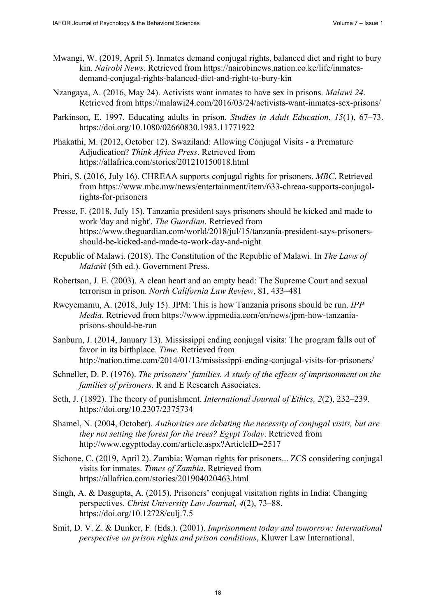- Mwangi, W. (2019, April 5). Inmates demand conjugal rights, balanced diet and right to bury kin. *Nairobi News*[. Retrieved from https://nairobinews.nation.co.ke/life/inmates](https://nairobinews.nation.co.ke/life/inmates-demand-conjugal-rights-balanced-diet-and-right-to-bury-kin)demand[-conjugal-rights-balanced-diet-and-right-to-bury-kin](https://nairobinews.nation.co.ke/life/inmates-demand-conjugal-rights-balanced-diet-and-right-to-bury-kin)
- Nzangaya, A. (2016, May 24). Activists want inmates to have sex in prisons. *Malawi 24*. Retrieved from<https://malawi24.com/2016/03/24/activists-want-inmates-sex-prisons/>
- Parkinson, E. 1997. Educating adults in prison. *Studies in Adult Education*, *15*(1), 67–73. <https://doi.org/10.1080/02660830.1983.11771922>
- Phakathi, M. (2012, October 12). Swaziland: Allowing Conjugal Visits a Premature Adjudication? *Think Africa Press*. Retrieved from <https://allafrica.com/stories/201210150018.html>
- Phiri, S. (2016, July 16). CHREAA supports conjugal rights for prisoners. *MBC*. Retrieved [from https://www.mbc.mw/news/entertainment/item/633-chreaa-supports-conjugal](https://www.mbc.mw/news/entertainment/item/633-chreaa-supports-conjugal-rights-for-prisoners)rights-[for-prisoners](https://www.mbc.mw/news/entertainment/item/633-chreaa-supports-conjugal-rights-for-prisoners)
- Presse, F. (2018, July 15). Tanzania president says prisoners should be kicked and made to work 'day and night'. *The Guardian*. Retrieved from [https://www.theguardian.com/world/2018/jul/15/tanzania-president-says-prisoners](https://www.theguardian.com/world/2018/jul/15/tanzania-president-says-prisoners-should-be-kicked-and-made-to-work-day-and-night)should[-be-kicked-and-made-to-work-day-and-night](https://www.theguardian.com/world/2018/jul/15/tanzania-president-says-prisoners-should-be-kicked-and-made-to-work-day-and-night)
- Republic of Malawi. (2018). The Constitution of the Republic of Malawi. In *The Laws of Malaŵi* (5th ed.). Government Press.
- Robertson, J. E. (2003). A clean heart and an empty head: The Supreme Court and sexual terrorism in prison. *North California Law Review*, 81, 433–481
- Rweyemamu, A. (2018, July 15). JPM: This is how Tanzania prisons should be run. *IPP Media*[. Retrieved from https://www.ippmedia.com/en/news/jpm-how-tanzania](https://www.ippmedia.com/en/news/jpm-how-tanzania-prisons-should-be-run)prisons-[should-be-run](https://www.ippmedia.com/en/news/jpm-how-tanzania-prisons-should-be-run)
- Sanburn, J. (2014, January 13). Mississippi ending conjugal visits: The program falls out of favor in its birthplace. *Time*. Retrieved from <http://nation.time.com/2014/01/13/mississippi-ending-conjugal-visits-for-prisoners/>
- Schneller, D. P. (1976). *The prisoners' families. A study of the effects of imprisonment on the families of prisoners.* R and E Research Associates.
- Seth, J. (1892). The theory of punishment. *International Journal of Ethics, 2*(2), 232–239. <https://doi.org/10.2307/2375734>
- Shamel, N. (2004, October). *Authorities are debating the necessity of conjugal visits, but are they not setting the forest for the trees? Egypt Today*. Retrieved from <http://www.egypttoday.com/article.aspx?ArticleID=2517>
- Sichone, C. (2019, April 2). Zambia: Woman rights for prisoners... ZCS considering conjugal visits for inmates. *Times of Zambia*. Retrieved from <https://allafrica.com/stories/201904020463.html>
- Singh, A. & Dasgupta, A. (2015). Prisoners' conjugal visitation rights in India: Changing perspectives. *Christ University Law Journal, 4*(2), 73–88. <https://doi.org/10.12728/culj.7.5>
- Smit, D. V. Z. & Dunker, F. (Eds.). (2001). *Imprisonment today and tomorrow: International perspective on prison rights and prison conditions*, Kluwer Law International.